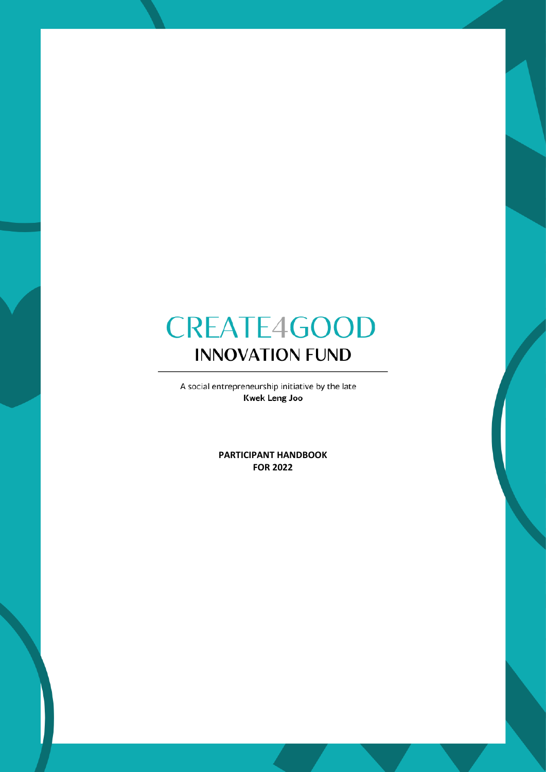A social entrepreneurship initiative by the late **Kwek Leng Joo** 

> **PARTICIPANT HANDBOOK FOR 2022**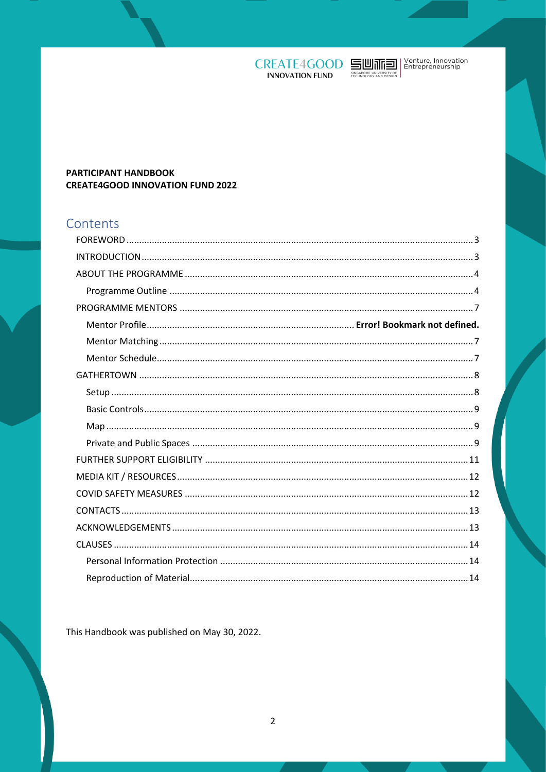



### PARTICIPANT HANDBOOK **CREATE4GOOD INNOVATION FUND 2022**

# Contents

This Handbook was published on May 30, 2022.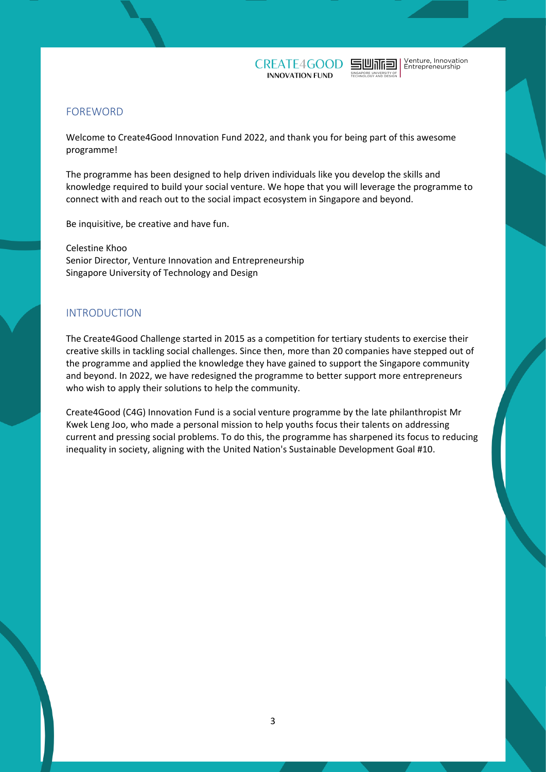Venture, Innovation<br>Entrepreneurship

 $\mathop{\hbox{\rm dim}}\nolimits$ 

## <span id="page-2-0"></span>FOREWORD

Welcome to Create4Good Innovation Fund 2022, and thank you for being part of this awesome programme!

The programme has been designed to help driven individuals like you develop the skills and knowledge required to build your social venture. We hope that you will leverage the programme to connect with and reach out to the social impact ecosystem in Singapore and beyond.

Be inquisitive, be creative and have fun.

Celestine Khoo Senior Director, Venture Innovation and Entrepreneurship Singapore University of Technology and Design

#### <span id="page-2-1"></span>INTRODUCTION

The Create4Good Challenge started in 2015 as a competition for tertiary students to exercise their creative skills in tackling social challenges. Since then, more than 20 companies have stepped out of the programme and applied the knowledge they have gained to support the Singapore community and beyond. In 2022, we have redesigned the programme to better support more entrepreneurs who wish to apply their solutions to help the community.

Create4Good (C4G) Innovation Fund is a social venture programme by the late philanthropist Mr Kwek Leng Joo, who made a personal mission to help youths focus their talents on addressing current and pressing social problems. To do this, the programme has sharpened its focus to reducing inequality in society, aligning with the United Nation's Sustainable Development Goal #10.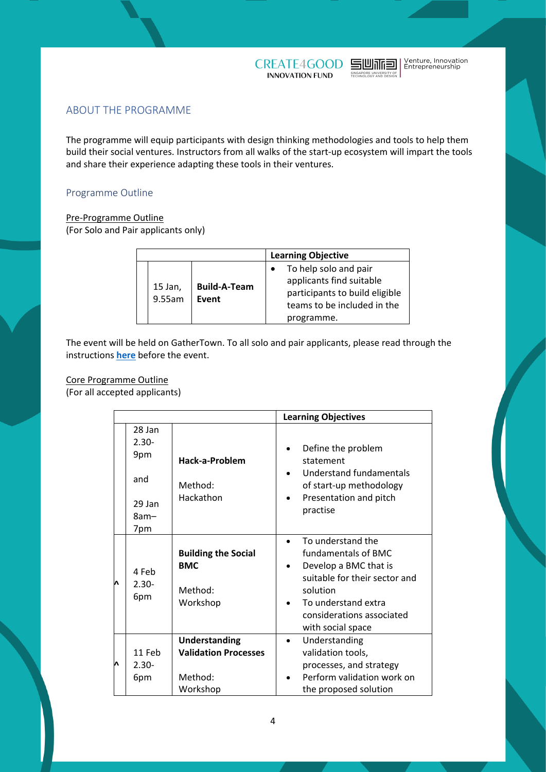



## <span id="page-3-0"></span>ABOUT THE PROGRAMME

The programme will equip participants with design thinking methodologies and tools to help them build their social ventures. Instructors from all walks of the start-up ecosystem will impart the tools and share their experience adapting these tools in their ventures.

#### <span id="page-3-1"></span>Programme Outline

#### Pre-Programme Outline

(For Solo and Pair applicants only)

|  |                   |                              | <b>Learning Objective</b>                                                                                                        |
|--|-------------------|------------------------------|----------------------------------------------------------------------------------------------------------------------------------|
|  | 15 Jan,<br>9.55am | <b>Build-A-Team</b><br>Event | To help solo and pair<br>applicants find suitable<br>participants to build eligible<br>teams to be included in the<br>programme. |

The event will be held on GatherTown. To all solo and pair applicants, please read through the instructions **[here](https://docs.google.com/document/d/1j9k49jtEsBrLFMCVLdFYjPm_I1RgJ8DmwCBBSANDGq0/edit?usp=sharing)** before the event.

# Core Programme Outline

(For all accepted applicants)

|   |                                                           |                                                                     | <b>Learning Objectives</b>                                                                                                                                                                                        |
|---|-----------------------------------------------------------|---------------------------------------------------------------------|-------------------------------------------------------------------------------------------------------------------------------------------------------------------------------------------------------------------|
|   | 28 Jan<br>$2.30 -$<br>9pm<br>and<br>29 Jan<br>8am-<br>7pm | Hack-a-Problem<br>Method:<br>Hackathon                              | Define the problem<br>statement<br><b>Understand fundamentals</b><br>of start-up methodology<br>Presentation and pitch<br>$\bullet$<br>practise                                                                   |
| Λ | 4 Feb<br>$2.30 -$<br>6pm                                  | <b>Building the Social</b><br><b>BMC</b><br>Method:<br>Workshop     | To understand the<br>fundamentals of BMC<br>Develop a BMC that is<br>$\bullet$<br>suitable for their sector and<br>solution<br>To understand extra<br>$\bullet$<br>considerations associated<br>with social space |
| Λ | 11 Feb<br>$2.30 -$<br>6pm                                 | Understanding<br><b>Validation Processes</b><br>Method:<br>Workshop | Understanding<br>$\bullet$<br>validation tools,<br>processes, and strategy<br>Perform validation work on<br>the proposed solution                                                                                 |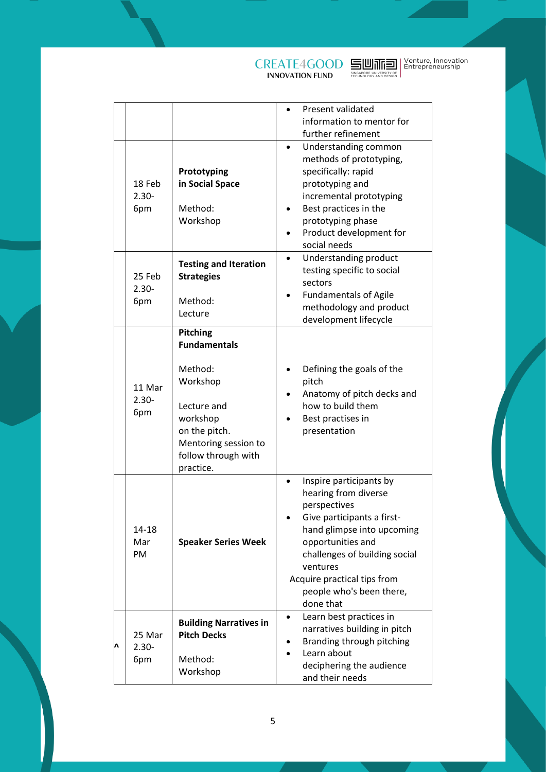**SUMMER | Venture, Innovation<br>SHORAPTE | Entrepreneurship<br>REGINICIBY AND BESIGN** 

|                           |                                                                                                                                                                | Present validated<br>information to mentor for<br>further refinement                                                                                                                                                                                                  |
|---------------------------|----------------------------------------------------------------------------------------------------------------------------------------------------------------|-----------------------------------------------------------------------------------------------------------------------------------------------------------------------------------------------------------------------------------------------------------------------|
| 18 Feb<br>$2.30 -$<br>6pm | Prototyping<br>in Social Space<br>Method:<br>Workshop                                                                                                          | Understanding common<br>methods of prototyping,<br>specifically: rapid<br>prototyping and<br>incremental prototyping<br>Best practices in the<br>prototyping phase<br>Product development for<br>social needs                                                         |
| 25 Feb<br>$2.30 -$<br>6pm | <b>Testing and Iteration</b><br><b>Strategies</b><br>Method:<br>Lecture                                                                                        | Understanding product<br>testing specific to social<br>sectors<br><b>Fundamentals of Agile</b><br>methodology and product<br>development lifecycle                                                                                                                    |
| 11 Mar<br>$2.30 -$<br>6pm | Pitching<br><b>Fundamentals</b><br>Method:<br>Workshop<br>Lecture and<br>workshop<br>on the pitch.<br>Mentoring session to<br>follow through with<br>practice. | Defining the goals of the<br>pitch<br>Anatomy of pitch decks and<br>how to build them<br>Best practises in<br>presentation                                                                                                                                            |
| 14-18<br>Mar<br>PM        | <b>Speaker Series Week</b>                                                                                                                                     | Inspire participants by<br>hearing from diverse<br>perspectives<br>Give participants a first-<br>hand glimpse into upcoming<br>opportunities and<br>challenges of building social<br>ventures<br>Acquire practical tips from<br>people who's been there,<br>done that |
| 25 Mar<br>$2.30 -$<br>6pm | <b>Building Narratives in</b><br><b>Pitch Decks</b><br>Method:<br>Workshop                                                                                     | Learn best practices in<br>narratives building in pitch<br>Branding through pitching<br>Learn about<br>deciphering the audience<br>and their needs                                                                                                                    |

**CREATE4GOOD** 

**^**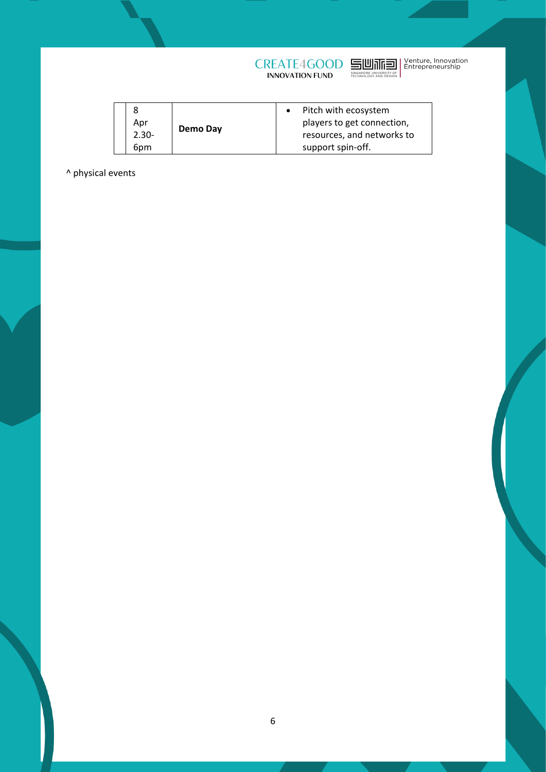

|          | Demo Day | Pitch with ecosystem       |
|----------|----------|----------------------------|
| Apr      |          | players to get connection, |
| $2.30 -$ |          | resources, and networks to |
| 6pm      |          | support spin-off.          |

^ physical events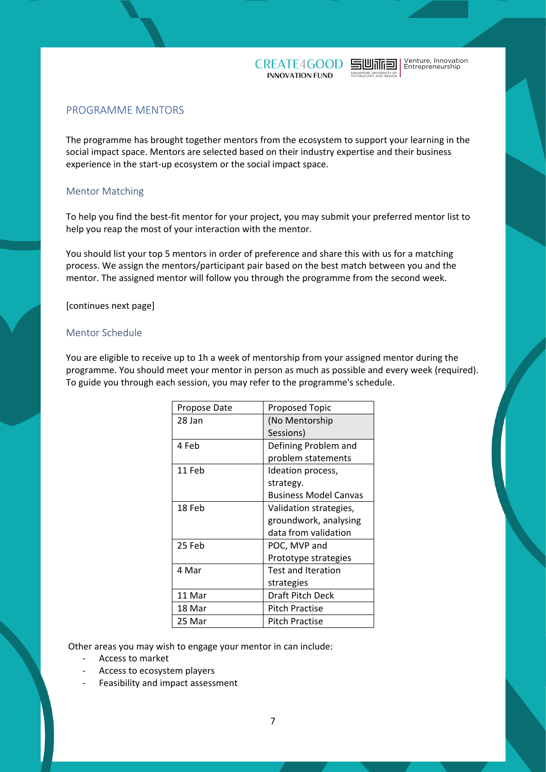



### <span id="page-6-0"></span>PROGRAMME MENTORS

The programme has brought together mentors from the ecosystem to support your learning in the social impact space. Mentors are selected based on their industry expertise and their business experience in the start-up ecosystem or the social impact space.

#### <span id="page-6-1"></span>Mentor Matching

To help you find the best-fit mentor for your project, you may submit your preferred mentor list to help you reap the most of your interaction with the mentor.

You should list your top 5 mentors in order of preference and share this with us for a matching process. We assign the mentors/participant pair based on the best match between you and the mentor. The assigned mentor will follow you through the programme from the second week.

#### <span id="page-6-2"></span>[continues next page]

#### Mentor Schedule

You are eligible to receive up to 1h a week of mentorship from your assigned mentor during the programme. You should meet your mentor in person as much as possible and every week (required). To guide you through each session, you may refer to the programme's schedule.

| Propose Date | <b>Proposed Topic</b>     |
|--------------|---------------------------|
| 28 Jan       | (No Mentorship            |
|              | Sessions)                 |
| 4 Feb        | Defining Problem and      |
|              | problem statements        |
| 11 Feb       | Ideation process,         |
|              | strategy.                 |
|              | Business Model Canvas     |
| 18 Feb       | Validation strategies,    |
|              | groundwork, analysing     |
|              | data from validation      |
| 25 Feb       | POC, MVP and              |
|              | Prototype strategies      |
| 4 Mar        | <b>Test and Iteration</b> |
|              | strategies                |
| 11 Mar       | Draft Pitch Deck          |
| 18 Mar       | Pitch Practise            |
| 25 Mar       | Pitch Practise            |

Other areas you may wish to engage your mentor in can include:

- Access to market
- Access to ecosystem players
- Feasibility and impact assessment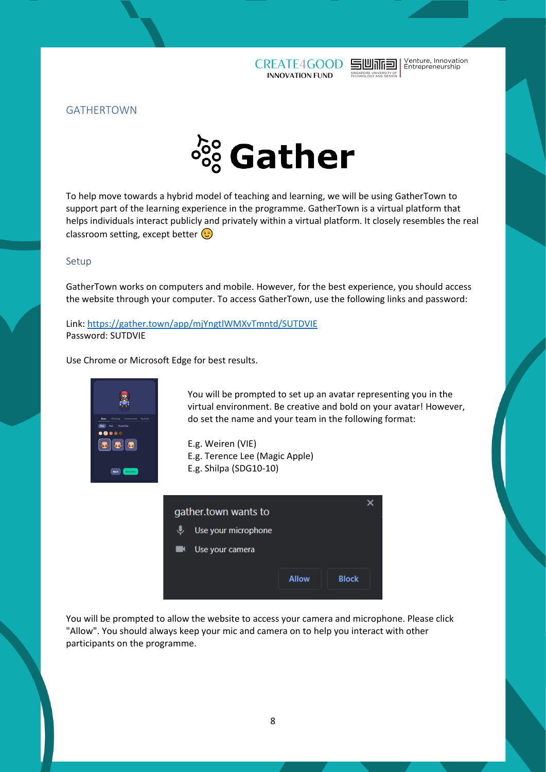

Venture, Innovation<br>Entrepreneurship

凹冰包

<span id="page-7-0"></span>



To help move towards a hybrid model of teaching and learning, we will be using GatherTown to support part of the learning experience in the programme. GatherTown is a virtual platform that helps individuals interact publicly and privately within a virtual platform. It closely resembles the real classroom setting, except better

#### <span id="page-7-1"></span>Setup

GatherTown works on computers and mobile. However, for the best experience, you should access the website through your computer. To access GatherTown, use the following links and password:

Link:<https://gather.town/app/mjYngtlWMXvTmntd/SUTDVIE> Password: SUTDVIE

Use Chrome or Microsoft Edge for best results.



You will be prompted to set up an avatar representing you in the virtual environment. Be creative and bold on your avatar! However, do set the name and your team in the following format:

E.g. Weiren (VIE) E.g. Terence Lee (Magic Apple) E.g. Shilpa (SDG10-10)



You will be prompted to allow the website to access your camera and microphone. Please click "Allow". You should always keep your mic and camera on to help you interact with other participants on the programme.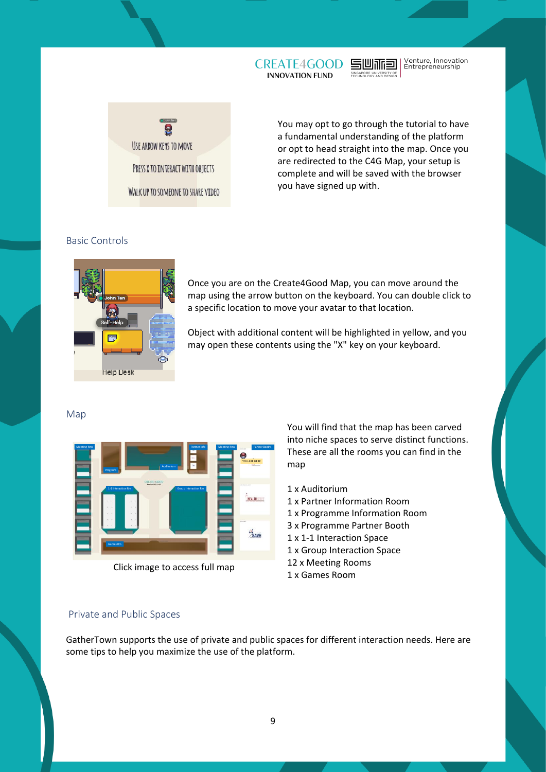

Venture, Innovation<br>Entrepreneurship 司山业国



You may opt to go through the tutorial to have a fundamental understanding of the platform or opt to head straight into the map. Once you are redirected to the C4G Map, your setup is complete and will be saved with the browser you have signed up with.

#### <span id="page-8-0"></span>Basic Controls



Once you are on the Create4Good Map, you can move around the map using the arrow button on the keyboard. You can double click to a specific location to move your avatar to that location.

Object with additional content will be highlighted in yellow, and you may open these contents using the "X" key on your keyboard.

#### <span id="page-8-1"></span>Map



## Click image to access full map

You will find that the map has been carved into niche spaces to serve distinct functions. These are all the rooms you can find in the map

- 1 x Auditorium
- 1 x Partner Information Room
- 1 x Programme Information Room
- 3 x Programme Partner Booth
- 1 x 1-1 Interaction Space
- 1 x Group Interaction Space
- 12 x Meeting Rooms
- 1 x Games Room

#### <span id="page-8-2"></span>Private and Public Spaces

GatherTown supports the use of private and public spaces for different interaction needs. Here are some tips to help you maximize the use of the platform.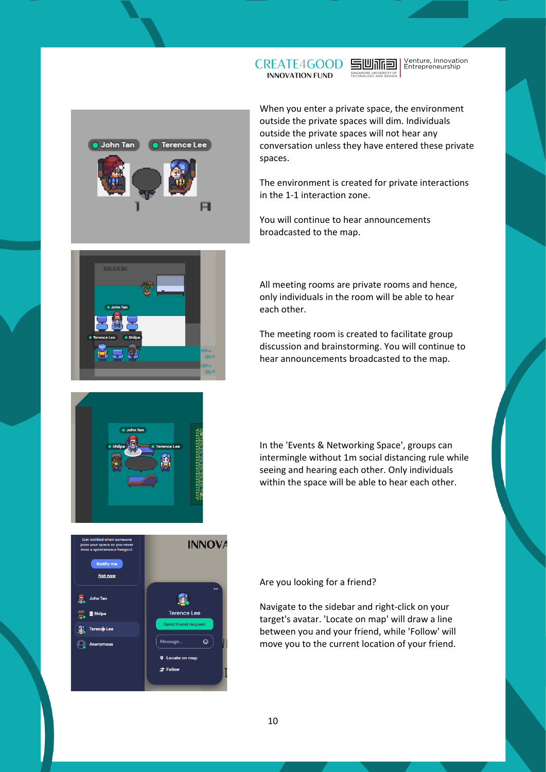

When you enter a private space, the environment outside the private spaces will dim. Individuals outside the private spaces will not hear any conversation unless they have entered these private spaces.

与心不同

**CREATE4GOOD INNOVATION FUND** 

Venture, Innovation<br>Entrepreneurship

The environment is created for private interactions in the 1-1 interaction zone.

You will continue to hear announcements broadcasted to the map.



All meeting rooms are private rooms and hence, only individuals in the room will be able to hear each other.

The meeting room is created to facilitate group discussion and brainstorming. You will continue to hear announcements broadcasted to the map.



In the 'Events & Networking Space', groups can intermingle without 1m social distancing rule while seeing and hearing each other. Only individuals within the space will be able to hear each other.



Are you looking for a friend?

Navigate to the sidebar and right-click on your target's avatar. 'Locate on map' will draw a line between you and your friend, while 'Follow' will move you to the current location of your friend.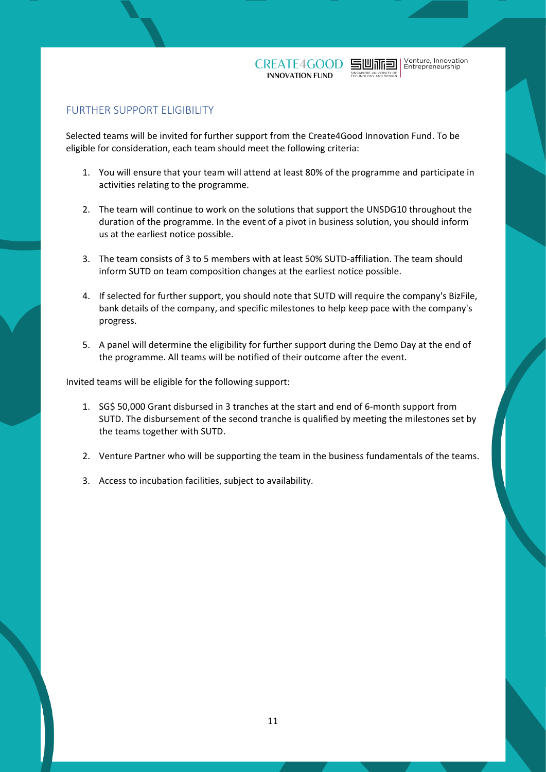Venture, Innovation<br>Entrepreneurship

## <span id="page-10-0"></span>FURTHER SUPPORT ELIGIBILITY

Selected teams will be invited for further support from the Create4Good Innovation Fund. To be eligible for consideration, each team should meet the following criteria:

- 1. You will ensure that your team will attend at least 80% of the programme and participate in activities relating to the programme.
- 2. The team will continue to work on the solutions that support the UNSDG10 throughout the duration of the programme. In the event of a pivot in business solution, you should inform us at the earliest notice possible.
- 3. The team consists of 3 to 5 members with at least 50% SUTD-affiliation. The team should inform SUTD on team composition changes at the earliest notice possible.
- 4. If selected for further support, you should note that SUTD will require the company's BizFile, bank details of the company, and specific milestones to help keep pace with the company's progress.
- 5. A panel will determine the eligibility for further support during the Demo Day at the end of the programme. All teams will be notified of their outcome after the event.

Invited teams will be eligible for the following support:

- 1. SG\$ 50,000 Grant disbursed in 3 tranches at the start and end of 6-month support from SUTD. The disbursement of the second tranche is qualified by meeting the milestones set by the teams together with SUTD.
- 2. Venture Partner who will be supporting the team in the business fundamentals of the teams.
- 3. Access to incubation facilities, subject to availability.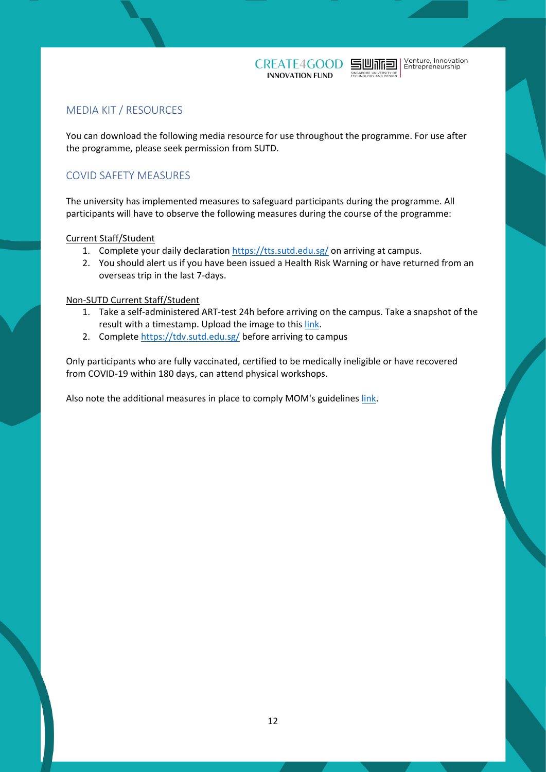

## <span id="page-11-0"></span>MEDIA KIT / RESOURCES

You can download the following media resource for use throughout the programme. For use after the programme, please seek permission from SUTD.

# <span id="page-11-1"></span>COVID SAFETY MEASURES

The university has implemented measures to safeguard participants during the programme. All participants will have to observe the following measures during the course of the programme:

Current Staff/Student

- 1. Complete your daily declaration<https://tts.sutd.edu.sg/> on arriving at campus.
- 2. You should alert us if you have been issued a Health Risk Warning or have returned from an overseas trip in the last 7-days.

#### Non-SUTD Current Staff/Student

- 1. Take a self-administered ART-test 24h before arriving on the campus. Take a snapshot of the result with a timestamp. Upload the image to this [link.](https://forms.office.com/Pages/ResponsePage.aspx?id=drd2NJDpck-5UGJImDFiPcys1k7HLjBIpVIIKmuNwZxUQTM0TkxXMTcySVcyQjlISEJSQ00xTUpFTS4u)
- 2. Complete<https://tdv.sutd.edu.sg/> before arriving to campus

Only participants who are fully vaccinated, certified to be medically ineligible or have recovered from COVID-19 within 180 days, can attend physical workshops.

Also note the additional measures in place to comply MOM's guidelines [link.](https://www.mom.gov.sg/covid-19/advisory-on-covid-19-vaccination-in-employment-settings)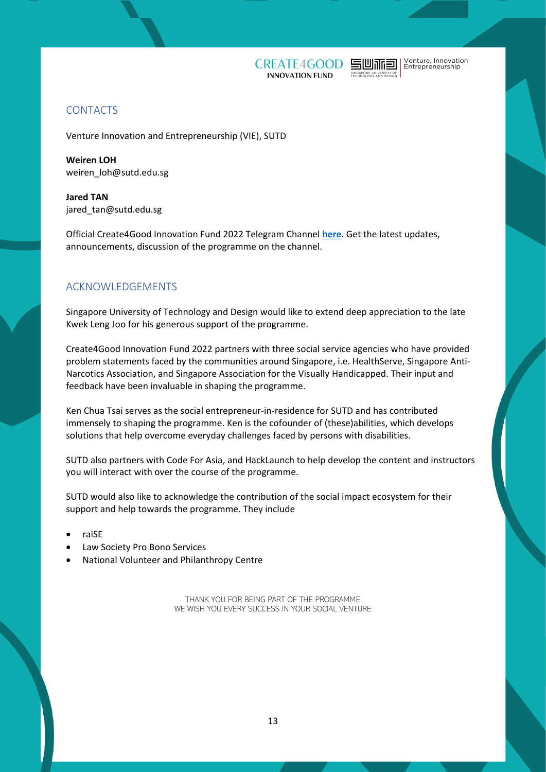



# <span id="page-12-0"></span>**CONTACTS**

Venture Innovation and Entrepreneurship (VIE), SUTD

**Weiren LOH**  weiren\_loh@sutd.edu.sg

**Jared TAN** jared\_tan@sutd.edu.sg

Official Create4Good Innovation Fund 2022 Telegram Channel **[here](https://t.me/+yiUN6nNBtlYzMTI1)**. Get the latest updates, announcements, discussion of the programme on the channel.

# <span id="page-12-1"></span>ACKNOWLEDGEMENTS

Singapore University of Technology and Design would like to extend deep appreciation to the late Kwek Leng Joo for his generous support of the programme.

Create4Good Innovation Fund 2022 partners with three social service agencies who have provided problem statements faced by the communities around Singapore, i.e. HealthServe, Singapore Anti-Narcotics Association, and Singapore Association for the Visually Handicapped. Their input and feedback have been invaluable in shaping the programme.

Ken Chua Tsai serves as the social entrepreneur-in-residence for SUTD and has contributed immensely to shaping the programme. Ken is the cofounder of (these)abilities, which develops solutions that help overcome everyday challenges faced by persons with disabilities.

SUTD also partners with Code For Asia, and HackLaunch to help develop the content and instructors you will interact with over the course of the programme.

SUTD would also like to acknowledge the contribution of the social impact ecosystem for their support and help towards the programme. They include

- raiSE
- Law Society Pro Bono Services
- National Volunteer and Philanthropy Centre

THANK YOU FOR BEING PART OF THE PROGRAMME WE WISH YOU EVERY SUCCESS IN YOUR SOCIAL VENTURE